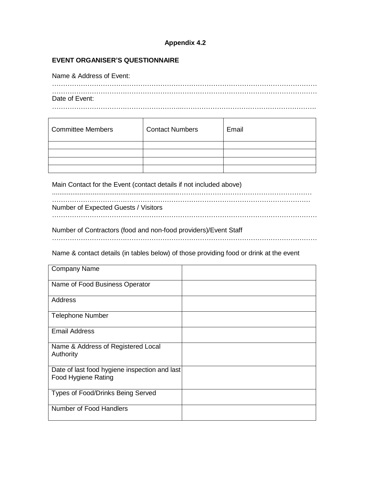## **Appendix 4.2**

### **EVENT ORGANISER'S QUESTIONNAIRE**

Name & Address of Event:

| Date of Event: |  |  |
|----------------|--|--|

| <b>Committee Members</b> | <b>Contact Numbers</b> | Email |
|--------------------------|------------------------|-------|
|                          |                        |       |
|                          |                        |       |
|                          |                        |       |
|                          |                        |       |

Main Contact for the Event (contact details if not included above)

| Number of Expected Guests / Visitors |
|--------------------------------------|
|                                      |

Number of Contractors (food and non-food providers)/Event Staff

…………………………………………………………………………………………………………

Name & contact details (in tables below) of those providing food or drink at the event

| <b>Company Name</b>                                                  |  |
|----------------------------------------------------------------------|--|
| Name of Food Business Operator                                       |  |
| Address                                                              |  |
| <b>Telephone Number</b>                                              |  |
| <b>Email Address</b>                                                 |  |
| Name & Address of Registered Local<br>Authority                      |  |
| Date of last food hygiene inspection and last<br>Food Hygiene Rating |  |
| Types of Food/Drinks Being Served                                    |  |
| Number of Food Handlers                                              |  |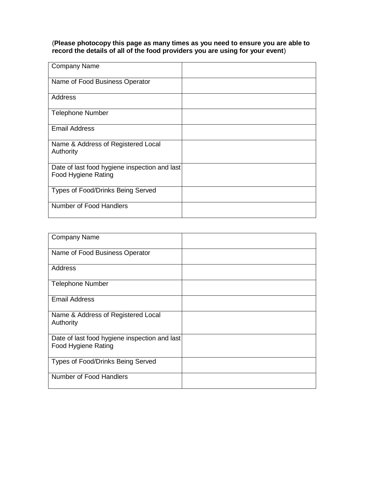(**Please photocopy this page as many times as you need to ensure you are able to record the details of all of the food providers you are using for your event**)

| <b>Company Name</b>                                                  |  |
|----------------------------------------------------------------------|--|
| Name of Food Business Operator                                       |  |
| Address                                                              |  |
| <b>Telephone Number</b>                                              |  |
| <b>Email Address</b>                                                 |  |
| Name & Address of Registered Local<br>Authority                      |  |
| Date of last food hygiene inspection and last<br>Food Hygiene Rating |  |
| Types of Food/Drinks Being Served                                    |  |
| Number of Food Handlers                                              |  |

| <b>Company Name</b>                                                  |  |
|----------------------------------------------------------------------|--|
| Name of Food Business Operator                                       |  |
| Address                                                              |  |
| <b>Telephone Number</b>                                              |  |
| <b>Email Address</b>                                                 |  |
| Name & Address of Registered Local<br>Authority                      |  |
| Date of last food hygiene inspection and last<br>Food Hygiene Rating |  |
| Types of Food/Drinks Being Served                                    |  |
| Number of Food Handlers                                              |  |